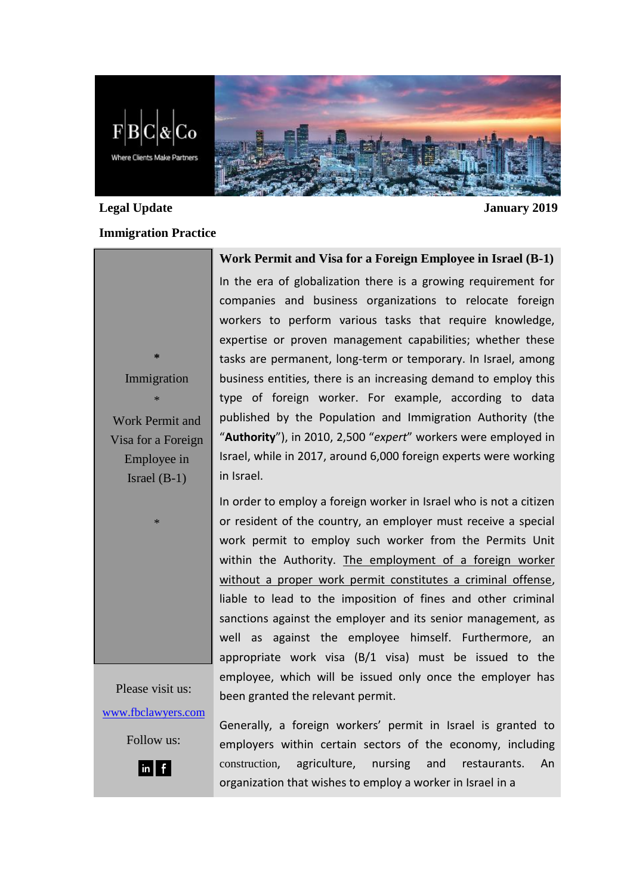

# **Legal Update January 2019**

### **Immigration Practice**

**\*** Immigration

\* Work Permit and Visa for a Foreign Employee in Israel (B-1)

\*

In the era of globalization there is a growing requirement for companies and business organizations to relocate foreign workers to perform various tasks that require knowledge, expertise or proven management capabilities; whether these tasks are permanent, long-term or temporary. In Israel, among business entities, there is an increasing demand to employ this type of foreign worker. For example, according to data published by the Population and Immigration Authority (the "**Authority**"), in 2010, 2,500 "*expert*" workers were employed in Israel, while in 2017, around 6,000 foreign experts were working in Israel.

**Work Permit and Visa for a Foreign Employee in Israel (B-1)**

In order to employ a foreign worker in Israel who is not a citizen or resident of the country, an employer must receive a special work permit to employ such worker from the Permits Unit within the Authority. The employment of a foreign worker without a proper work permit constitutes a criminal offense. liable to lead to the imposition of fines and other criminal sanctions against the employer and its senior management, as well as against the employee himself. Furthermore, an appropriate work visa (B/1 visa) must be issued to the employee, which will be issued only once the employer has been granted the relevant permit.

Please visit us: [www.fbclawyers.com](http://www.fbclawyers.com/)

Follow us:



Generally, a foreign workers' permit in Israel is granted to employers within certain sectors of the economy, including construction, agriculture, nursing and restaurants. An organization that wishes to employ a worker in Israel in a